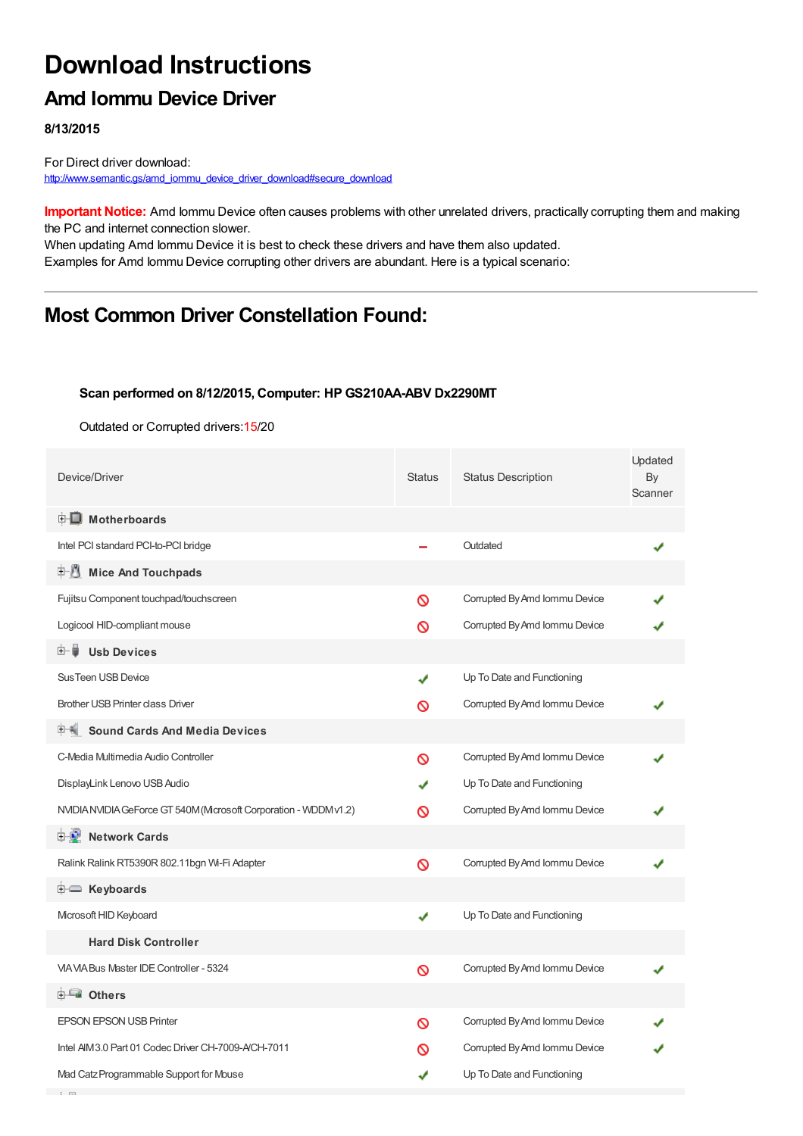# **Download Instructions**

### **Amd Iommu Device Driver**

**8/13/2015**

**Contract** 

For Direct driver download: [http://www.semantic.gs/amd\\_iommu\\_device\\_driver\\_download#secure\\_download](http://www.semantic.gs/amd_iommu_device_driver_download#secure_download)

**Important Notice:** Amd Iommu Device often causes problems with other unrelated drivers, practically corrupting them and making the PC and internet connection slower.

When updating Amd Iommu Device it is best to check these drivers and have them also updated. Examples for Amd Iommu Device corrupting other drivers are abundant. Here is a typical scenario:

## **Most Common Driver Constellation Found:**

#### **Scan performed on 8/12/2015, Computer: HP GS210AA-ABV Dx2290MT**

Outdated or Corrupted drivers:15/20

| Device/Driver                                                  | Status | <b>Status Description</b>     | Updated<br>By<br>Scanner |
|----------------------------------------------------------------|--------|-------------------------------|--------------------------|
| <b>E</b> Motherboards                                          |        |                               |                          |
| Intel PCI standard PCI-to-PCI bridge                           |        | Outdated                      |                          |
| <b>E</b> Mice And Touchpads                                    |        |                               |                          |
| Fujitsu Component touchpad/touchscreen                         | Ø      | Corrupted By Amd Iommu Device |                          |
| Logicool HID-compliant mouse                                   | Ø      | Corrupted By Amd Iommu Device |                          |
| <b>Usb Devices</b><br>⊞… ∎                                     |        |                               |                          |
| <b>Sus Teen USB Device</b>                                     | J      | Up To Date and Functioning    |                          |
| <b>Brother USB Printer class Driver</b>                        | ര      | Corrupted By Amd Iommu Device |                          |
| <b>Sound Cards And Media Devices</b>                           |        |                               |                          |
| C-Media Multimedia Audio Controller                            | ര      | Corrupted By Amd Iommu Device |                          |
| DisplayLink Lenovo USB Audio                                   |        | Up To Date and Functioning    |                          |
| NVIDIANVIDIA GeForce GT 540M (Mcrosoft Corporation - WDDMv1.2) | ര      | Corrupted By Amd Iommu Device |                          |
| <b>E-2</b> Network Cards                                       |        |                               |                          |
| Ralink Ralink RT5390R 802.11bgn Wi-Fi Adapter                  | Ø      | Corrupted By Amd Iommu Device |                          |
| E Keyboards                                                    |        |                               |                          |
| Microsoft HID Keyboard                                         | ✔      | Up To Date and Functioning    |                          |
| <b>Hard Disk Controller</b>                                    |        |                               |                          |
| VIA VIA Bus Master IDE Controller - 5324                       | Ø      | Corrupted By Amd Iommu Device |                          |
| <b>⊞-≞∎ Others</b>                                             |        |                               |                          |
| <b>EPSON EPSON USB Printer</b>                                 | ര      | Corrupted By Amd Iommu Device |                          |
| Intel AIM3.0 Part 01 Codec Driver CH-7009-A/CH-7011            | ര      | Corrupted By Amd Iommu Device |                          |
| Mad Catz Programmable Support for Mouse                        | ✔      | Up To Date and Functioning    |                          |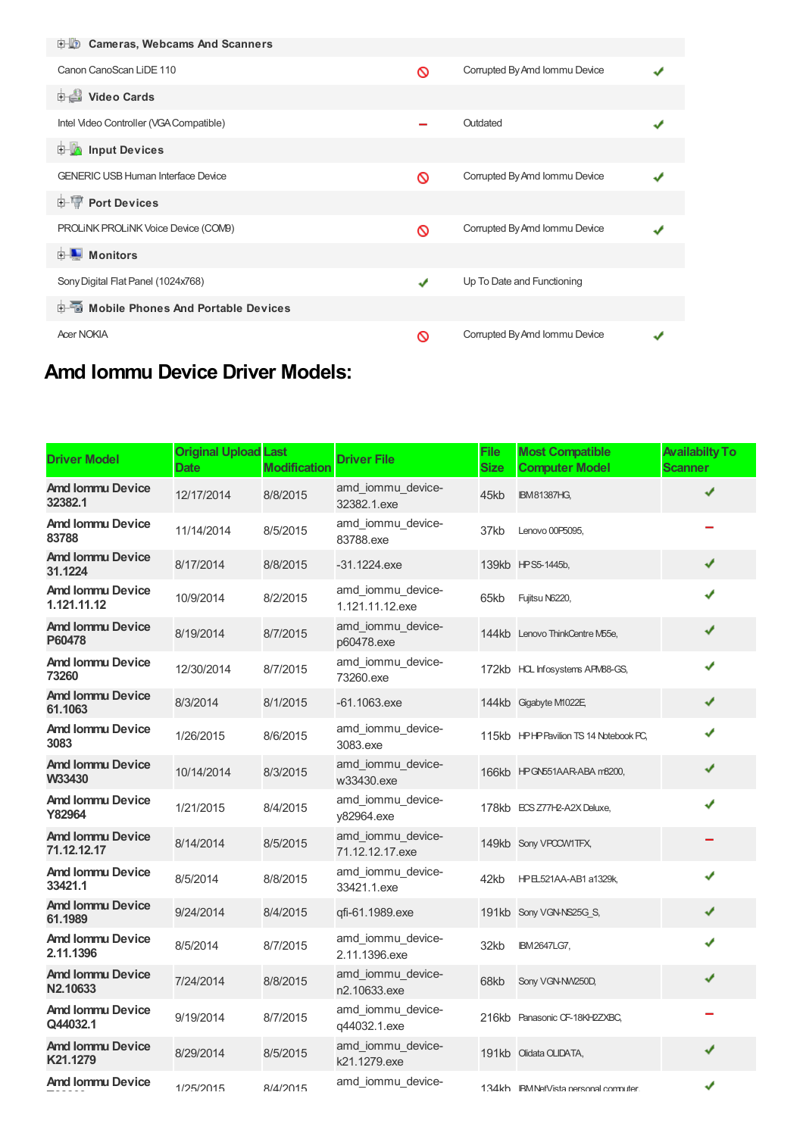| <b>D</b> Cameras, Webcams And Scanners    |   |                               |  |
|-------------------------------------------|---|-------------------------------|--|
| Canon CanoScan LiDE 110                   | Ø | Corrupted By Amd Iommu Device |  |
| <b>Dideo Cards</b>                        |   |                               |  |
| Intel Video Controller (VGA Compatible)   |   | Outdated                      |  |
| <b>E</b> Input Devices                    |   |                               |  |
| <b>GENERIC USB Human Interface Device</b> | Ø | Corrupted By Amd Iommu Device |  |
| <b>E-TP Port Devices</b>                  |   |                               |  |
| PROLINK PROLINK Voice Device (COM9)       | ര | Corrupted By Amd Iommu Device |  |
| <b>E</b> Monitors                         |   |                               |  |
| Sony Digital Flat Panel (1024x768)        | J | Up To Date and Functioning    |  |
| 白面 Mobile Phones And Portable Devices     |   |                               |  |
| <b>Acer NOKIA</b>                         | ∾ | Corrupted By Amd Iommu Device |  |

# **Amd Iommu Device Driver Models:**

| <b>Driver Model</b>                    | <b>Original Upload Last</b><br>Date | <b>Modification</b> | <b>Driver File</b>                   | <b>File</b><br><b>Size</b> | <b>Most Compatible</b><br><b>Computer Model</b> | <b>Availabilty To</b><br><b>Scanner</b> |
|----------------------------------------|-------------------------------------|---------------------|--------------------------------------|----------------------------|-------------------------------------------------|-----------------------------------------|
| <b>Amd Iommu Device</b><br>32382.1     | 12/17/2014                          | 8/8/2015            | amd iommu device-<br>32382.1.exe     | 45kb                       | <b>IBM81387HG,</b>                              |                                         |
| Amd Iommu Device<br>83788              | 11/14/2014                          | 8/5/2015            | amd iommu device-<br>83788.exe       | 37kb                       | Lenovo 00P5095,                                 |                                         |
| <b>Amd Iommu Device</b><br>31.1224     | 8/17/2014                           | 8/8/2015            | $-31.1224$ .exe                      |                            | 139kb HPS5-1445b,                               | ✔                                       |
| Amd Iommu Device<br>1.121.11.12        | 10/9/2014                           | 8/2/2015            | amd iommu device-<br>1.121.11.12.exe | 65kb                       | Fujitsu N6220,                                  | ✔                                       |
| <b>Amd Iommu Device</b><br>P60478      | 8/19/2014                           | 8/7/2015            | amd iommu device-<br>p60478.exe      |                            | 144kb Lenovo ThinkCentre M55e,                  | ✔                                       |
| <b>Amd Iommu Device</b><br>73260       | 12/30/2014                          | 8/7/2015            | amd_iommu_device-<br>73260.exe       |                            | 172kb HCL Infosystems APM88-GS,                 | ✔                                       |
| <b>Amd Iommu Device</b><br>61.1063     | 8/3/2014                            | 8/1/2015            | $-61.1063$ .exe                      |                            | 144kb Gigabyte M1022E                           | ✔                                       |
| Amd Iommu Device<br>3083               | 1/26/2015                           | 8/6/2015            | amd iommu device-<br>3083.exe        |                            | 115kb HPHP Pavilion TS 14 Notebook PC,          | ✔                                       |
| <b>Amd Iommu Device</b><br>W33430      | 10/14/2014                          | 8/3/2015            | amd iommu device-<br>w33430.exe      |                            | 166kb HPGN551AAR-ABA m8200,                     | ✔                                       |
| <b>Amd Iommu Device</b><br>Y82964      | 1/21/2015                           | 8/4/2015            | amd iommu device-<br>v82964.exe      |                            | 178kb ECS Z77H2-A2X Deluxe,                     | ✔                                       |
| <b>Amd Iommu Device</b><br>71.12.12.17 | 8/14/2014                           | 8/5/2015            | amd iommu device-<br>71.12.12.17.exe |                            | 149kb Sony VPOCW1TFX,                           |                                         |
| <b>Amd Iommu Device</b><br>33421.1     | 8/5/2014                            | 8/8/2015            | amd_iommu_device-<br>33421.1.exe     | 42kb                       | HPEL521AA-AB1 a1329k,                           | ✔                                       |
| <b>Amd Iommu Device</b><br>61.1989     | 9/24/2014                           | 8/4/2015            | qfi-61.1989.exe                      |                            | 191kb Sony VGN-NS25G S,                         | ✔                                       |
| <b>Amd Iommu Device</b><br>2.11.1396   | 8/5/2014                            | 8/7/2015            | amd iommu device-<br>2.11.1396.exe   | 32kb                       | <b>IBM2647LG7,</b>                              | ✔                                       |
| <b>Amd Iommu Device</b><br>N2.10633    | 7/24/2014                           | 8/8/2015            | amd iommu device-<br>n2.10633.exe    | 68kb                       | Sony VGN-NW250D,                                | ✔                                       |
| <b>Amd Iommu Device</b><br>Q44032.1    | 9/19/2014                           | 8/7/2015            | amd_iommu_device-<br>q44032.1.exe    |                            | 216kb Panasonic CF-18KH2ZXBC,                   |                                         |
| <b>Amd Iommu Device</b><br>K21.1279    | 8/29/2014                           | 8/5/2015            | amd iommu device-<br>k21.1279.exe    |                            | 191kb Olidata OLIDATA,                          | ✔                                       |
| <b>Amd Iommu Device</b>                | 1/25/2015                           | 8/4/2015            | amd_iommu_device-                    |                            | 1.34kh IRM NetVista nersonal commuter           | ✔                                       |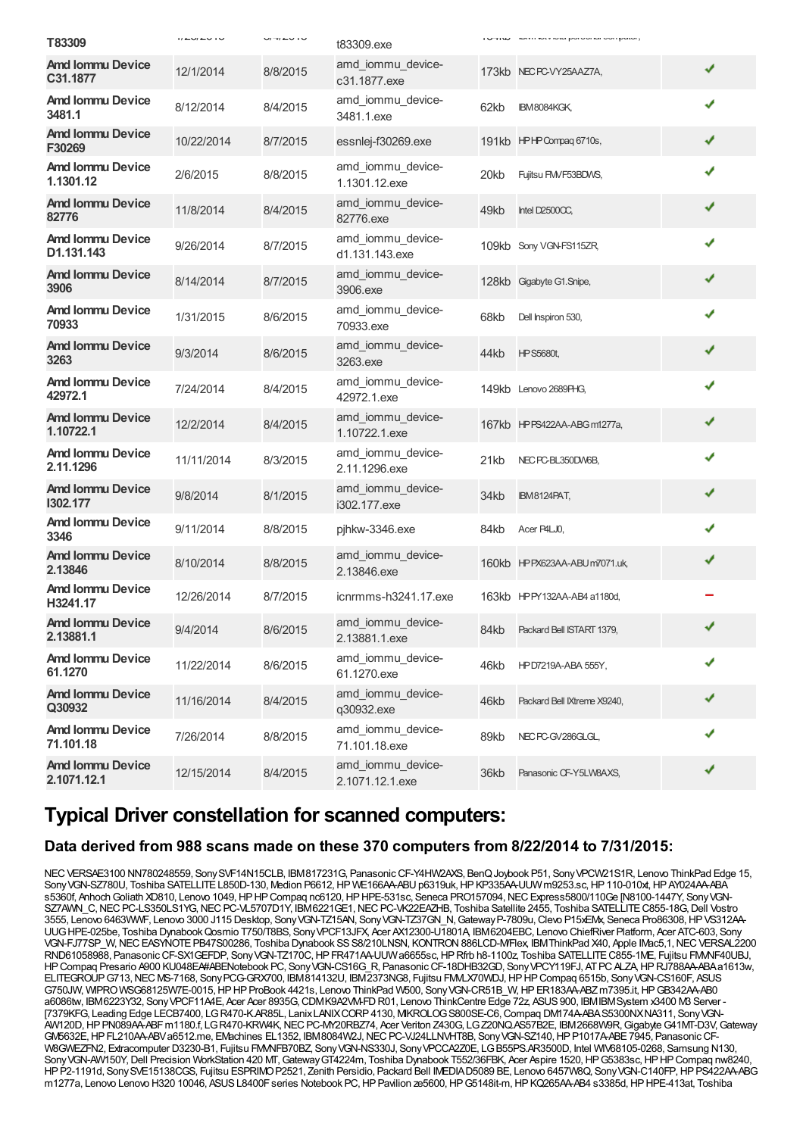| <b>Amd Iommu Device</b><br>amd_iommu_device-<br>12/1/2014<br>8/8/2015<br>173kb NECPC-VY25AAZ7A,<br>C31.1877<br>c31.1877.exe<br><b>Amd Iommu Device</b><br>amd_iommu_device-<br>8/12/2014<br>8/4/2015<br>62kb<br><b>IBM8084KGK,</b><br>3481.1<br>3481.1.exe<br><b>Amd Iommu Device</b> | ✔<br>✔<br>✔ |
|---------------------------------------------------------------------------------------------------------------------------------------------------------------------------------------------------------------------------------------------------------------------------------------|-------------|
|                                                                                                                                                                                                                                                                                       |             |
|                                                                                                                                                                                                                                                                                       |             |
| 10/22/2014<br>8/7/2015<br>essnlej-f30269.exe<br>191kb HPHPCompaq 6710s,<br>F30269                                                                                                                                                                                                     |             |
| <b>Amd Iommu Device</b><br>amd_iommu_device-<br>2/6/2015<br>8/8/2015<br>Fujitsu FMVF53BDWS,<br>20kb<br>1.1301.12<br>1.1301.12.exe                                                                                                                                                     | ✔           |
| <b>Amd Iommu Device</b><br>amd_iommu_device-<br>11/8/2014<br>8/4/2015<br>49kb<br>Intel D2500CC,<br>82776<br>82776.exe                                                                                                                                                                 | ✔           |
| <b>Amd Iommu Device</b><br>amd_iommu_device-<br>9/26/2014<br>8/7/2015<br>109kb Sony VGN-FS115ZR<br>D1.131.143<br>d1.131.143.exe                                                                                                                                                       |             |
| <b>Amd Iommu Device</b><br>amd_iommu_device-<br>8/14/2014<br>8/7/2015<br>128kb Gigabyte G1.Snipe,<br>3906<br>3906.exe                                                                                                                                                                 | ✔           |
| <b>Amd Iommu Device</b><br>amd iommu device-<br>1/31/2015<br>8/6/2015<br>68kb<br>Dell Inspiron 530,<br>70933<br>70933.exe                                                                                                                                                             | ✔           |
| <b>Amd Iommu Device</b><br>amd_iommu_device-<br>9/3/2014<br>8/6/2015<br>44kb<br><b>HPS5680t,</b><br>3263<br>3263.exe                                                                                                                                                                  | ✔           |
| <b>Amd Iommu Device</b><br>amd iommu device-<br>7/24/2014<br>8/4/2015<br>149kb Lenovo 2689PHG.<br>42972.1<br>42972.1.exe                                                                                                                                                              | ✔           |
| <b>Amd Iommu Device</b><br>amd_iommu_device-<br>12/2/2014<br>8/4/2015<br>167kb HPPS422AA-ABGm1277a,<br>1.10722.1<br>1.10722.1.exe                                                                                                                                                     | ✔           |
| amd_iommu_device-<br><b>Amd Iommu Device</b><br>11/11/2014<br>8/3/2015<br>NEC PC-BL350DW6B,<br>21kb<br>2.11.1296<br>2.11.1296.exe                                                                                                                                                     | ✔           |
| <b>Amd Iommu Device</b><br>amd_iommu_device-<br>9/8/2014<br>8/1/2015<br>34kb<br><b>IBM8124PAT,</b><br>1302.177<br>i302.177.exe                                                                                                                                                        | ✔           |
| <b>Amd Iommu Device</b><br>9/11/2014<br>8/8/2015<br>pjhkw-3346.exe<br>84kb<br>Acer P4LJ0,<br>3346                                                                                                                                                                                     | ✔           |
| <b>Amd Iommu Device</b><br>amd_iommu_device-<br>8/10/2014<br>8/8/2015<br>160kb HPPX623AA-ABUm7071.uk,<br>2.13846<br>2.13846.exe                                                                                                                                                       |             |
| <b>Amd Iommu Device</b><br>12/26/2014<br>8/7/2015<br>icnrmms-h3241.17.exe<br>163kb HPPY132AA-AB4 a1180d,<br>H3241.17                                                                                                                                                                  |             |
| <b>Amd Iommu Device</b><br>amd_iommu_device-<br>9/4/2014<br>8/6/2015<br>84kb<br>Packard Bell ISTART 1379.<br>2.13881.1<br>2.13881.1.exe                                                                                                                                               | ✔           |
| <b>Amd Iommu Device</b><br>amd_iommu_device-<br>11/22/2014<br>8/6/2015<br>46kb<br>HPD7219A-ABA 555Y,<br>61.1270<br>61.1270.exe                                                                                                                                                        |             |
| <b>Amd Iommu Device</b><br>amd_iommu_device-<br>11/16/2014<br>8/4/2015<br>46kb<br>Packard Bell IXtreme X9240,<br>Q30932<br>q30932.exe                                                                                                                                                 |             |
| amd iommu device-<br><b>Amd Iommu Device</b><br>7/26/2014<br>8/8/2015<br>89kb<br>NEC PC-GV286GLGL,<br>71.101.18<br>71.101.18.exe                                                                                                                                                      |             |
| <b>Amd Iommu Device</b><br>amd_iommu_device-<br>12/15/2014<br>8/4/2015<br>36kb<br>Panasonic CF-Y5LW8AXS,<br>2.1071.12.1<br>2.1071.12.1.exe                                                                                                                                            |             |

### **Typical Driver constellation for scanned computers:**

#### **Data derived from 988 scans made on these 370 computers from 8/22/2014 to 7/31/2015:**

NECVERSAE3100 NN780248559, SonySVF14N15CLB, IBM817231G, PanasonicCF-Y4HW2AXS, BenQJoybook P51, SonyVPCW21S1R, Lenovo ThinkPad Edge 15, Sony VGN-SZ780U, Toshiba SATELLITE L850D-130, Medion P6612, HP WE166AA-ABU p6319uk, HP KP335AA-UUW m9253.sc, HP 110-010xt, HP AY024AA-ABA s5360f, Anhoch Goliath XD810, Lenovo 1049, HP HP Compaq nc6120, HP HPE-531sc, Seneca PRO157094, NEC Express5800/110Ge [N8100-1447Y, Sony VGN-SZ7AWN\_C,NECPC-LS350LS1YG,NECPC-VL5707D1Y, IBM6221GE1,NECPC-VK22EAZHB, Toshiba Satellite 2455, Toshiba SATELLITEC855-18G,Dell Vostro 3555, Lenovo 6463WWF, Lenovo 3000 J115 Desktop, SonyVGN-TZ15AN, SonyVGN-TZ37GN\_N,GatewayP-7809u,Clevo P15xEMx, Seneca Pro86308,HPVS312AA-UUGHPE-025be, Toshiba DynabookQosmio T750/T8BS, SonyVPCF13JFX, Acer AX12300-U1801A, IBM6204EBC, Lenovo ChiefRiver Platform, Acer ATC-603, Sony VGN-FJ77SP\_W,NECEASYNOTEPB47S00286, Toshiba Dynabook SSS8/210LNSN, KONTRON886LCD-M/Flex, IBMThinkPad X40, Apple IMac5,1,NECVERSAL2200 RND61058988, PanasonicCF-SX1GEFDP, SonyVGN-TZ170C,HPFR471AA-UUWa6655sc,HPRfrb h8-1100z, Toshiba SATELLITEC855-1ME, Fujitsu FMVNF40UBJ, HPCompaq Presario A900 KU048EA#ABENotebook PC, SonyVGN-CS16G\_R, PanasonicCF-18DHB32GD, SonyVPCY119FJ, ATPCALZA,HPRJ788AA-ABAa1613w, ELITEGROUP G713, NEC MS-7168, Sony PCG-GRX700, IBM814132U, IBM2373NG8, Fujitsu FMLX70WDJ, HP HP Compaq 6515b, Sony VGN-CS160F, ASUS G750JW, WIPROWSG68125W7E-0015,HPHPProBook 4421s, Lenovo ThinkPad W500, SonyVGN-CR51B\_W,HPER183AA-ABZm7395.it,HPGB342AA-AB0 a6086tw, IBM6223Y32, SonyVPCF11A4E, Acer Acer 8935G,CDMK9A2VM-FDR01, Lenovo ThinkCentre Edge 72z, ASUS900, IBMIBMSystem x3400 M3 Server - [7379KFG, Leading Edge LECB7400, LGR470-K.AR85L, LanixLANIXCORP4130, MIKROLOGS800SE-C6,Compaq DM174A-ABAS5300NXNA311, SonyVGN-AW120D,HPPN089AA-ABFm1180.f, LGR470-KRW4K,NECPC-MY20RBZ74, Acer Veriton Z430G, LGZ20NQ.AS57B2E, IBM2668W9R,GigabyteG41MT-D3V,Gateway GW5632E, HP FL210AA-ABVa6512.me, EMachines EL1352, IBM8084W2J, NEC PC-VJ24LLNVHT8B, Sony VGN-SZ140, HP P1017A-ABE 7945, Panasonic CF-W8GWEZFN2, Extracomputer D3230-B1, Fujitsu FMMFB70BZ, Sony VGN-NS330J, Sony VPCCA2Z0E, LG B55PS.AR3500D, Intel WIV68105-0268, Samsung N130, Sony VGN-AW150Y, Dell Precision WorkStation 420 MT, Gateway GT4224m, Toshiba Dynabook T552/36FBK, Acer Aspire 1520, HP GS383sc, HP HP Compaq nw8240, HPP2-1191d, SonySVE15138CGS, Fujitsu ESPRIMOP2521, Zenith Persidio, Packard Bell IMEDIAD5089 BE, Lenovo 6457W8Q, SonyVGN-C140FP,HPPS422AA-ABG m1277a, Lenovo Lenovo H320 10046, ASUSL8400Fseries Notebook PC,HPPavilion ze5600,HPG5148it-m,HPKQ265AA-AB4 s3385d,HPHPE-413at, Toshiba